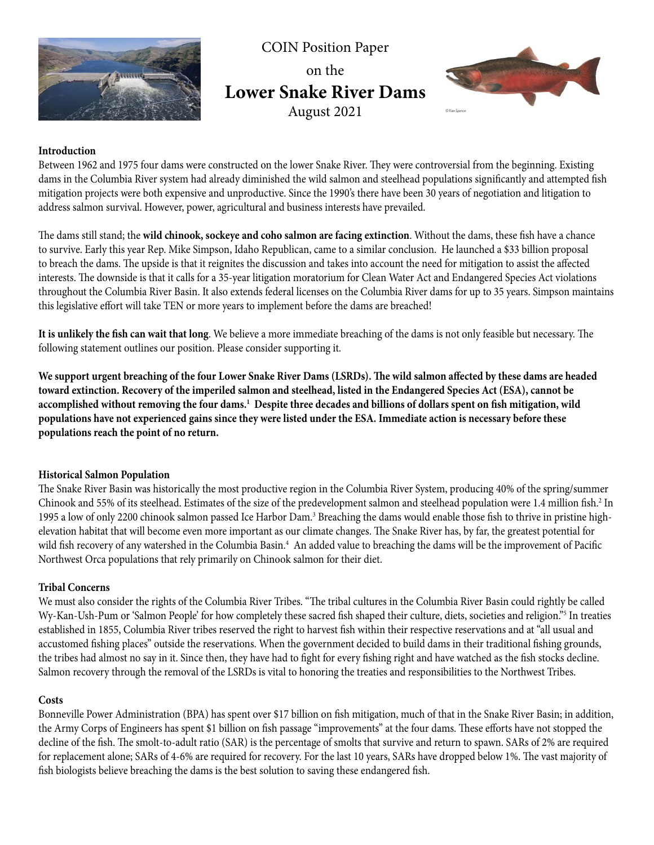

COIN Position Paper on the **Lower Snake River Dams** August 2021



## **Introduction**

Between 1962 and 1975 four dams were constructed on the lower Snake River. They were controversial from the beginning. Existing dams in the Columbia River system had already diminished the wild salmon and steelhead populations significantly and attempted fish mitigation projects were both expensive and unproductive. Since the 1990's there have been 30 years of negotiation and litigation to address salmon survival. However, power, agricultural and business interests have prevailed.

The dams still stand; the **wild chinook, sockeye and coho salmon are facing extinction**. Without the dams, these fish have a chance to survive. Early this year Rep. Mike Simpson, Idaho Republican, came to a similar conclusion. He launched a \$33 billion proposal to breach the dams. The upside is that it reignites the discussion and takes into account the need for mitigation to assist the affected interests. The downside is that it calls for a 35-year litigation moratorium for Clean Water Act and Endangered Species Act violations throughout the Columbia River Basin. It also extends federal licenses on the Columbia River dams for up to 35 years. Simpson maintains this legislative effort will take TEN or more years to implement before the dams are breached!

**It is unlikely the fish can wait that long**. We believe a more immediate breaching of the dams is not only feasible but necessary. The following statement outlines our position. Please consider supporting it.

**We support urgent breaching of the four Lower Snake River Dams (LSRDs). The wild salmon affected by these dams are headed toward extinction. Recovery of the imperiled salmon and steelhead, listed in the Endangered Species Act (ESA), cannot be accomplished without removing the four dams.1 Despite three decades and billions of dollars spent on fish mitigation, wild populations have not experienced gains since they were listed under the ESA. Immediate action is necessary before these populations reach the point of no return.**

#### **Historical Salmon Population**

The Snake River Basin was historically the most productive region in the Columbia River System, producing 40% of the spring/summer Chinook and 55% of its steelhead. Estimates of the size of the predevelopment salmon and steelhead population were 1.4 million fish.<sup>2</sup> In 1995 a low of only 2200 chinook salmon passed Ice Harbor Dam.<sup>3</sup> Breaching the dams would enable those fish to thrive in pristine highelevation habitat that will become even more important as our climate changes. The Snake River has, by far, the greatest potential for wild fish recovery of any watershed in the Columbia Basin.<sup>4</sup> An added value to breaching the dams will be the improvement of Pacific Northwest Orca populations that rely primarily on Chinook salmon for their diet.

### **Tribal Concerns**

We must also consider the rights of the Columbia River Tribes. "The tribal cultures in the Columbia River Basin could rightly be called Wy-Kan-Ush-Pum or 'Salmon People' for how completely these sacred fish shaped their culture, diets, societies and religion."5 In treaties established in 1855, Columbia River tribes reserved the right to harvest fish within their respective reservations and at "all usual and accustomed fishing places" outside the reservations. When the government decided to build dams in their traditional fishing grounds, the tribes had almost no say in it. Since then, they have had to fight for every fishing right and have watched as the fish stocks decline. Salmon recovery through the removal of the LSRDs is vital to honoring the treaties and responsibilities to the Northwest Tribes.

#### **Costs**

Bonneville Power Administration (BPA) has spent over \$17 billion on fish mitigation, much of that in the Snake River Basin; in addition, the Army Corps of Engineers has spent \$1 billion on fish passage "improvements" at the four dams. These efforts have not stopped the decline of the fish. The smolt-to-adult ratio (SAR) is the percentage of smolts that survive and return to spawn. SARs of 2% are required for replacement alone; SARs of 4-6% are required for recovery. For the last 10 years, SARs have dropped below 1%. The vast majority of fish biologists believe breaching the dams is the best solution to saving these endangered fish.